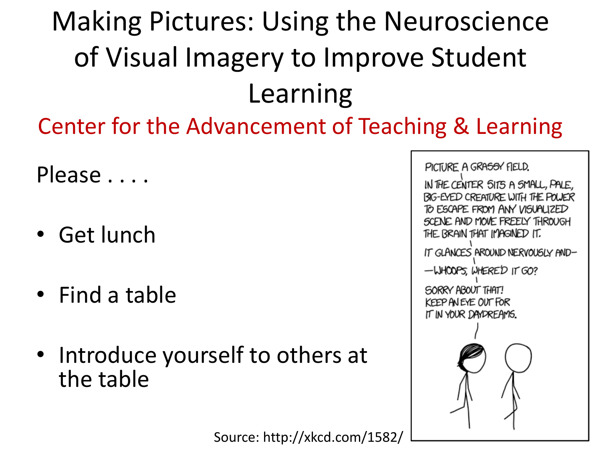#### Making Pictures: Using the Neuroscience of Visual Imagery to Improve Student Learning

Center for the Advancement of Teaching & Learning

Please . . . .

- Get lunch
- Find a table
- Introduce yourself to others at the table

Source: http://xkcd.com/1582/

PICTURE A GRASSY FIELD. IN THE CENTER SITS A SMALL, PALE, BIG-EYED CREATURE WITH THE POWER TO ESCAPE FROM ANY VISUALIZED SCENE AND MOVE FREELY THROUGH THE BRAIN THAT IMAGINED IT. IT GLANCES AROUND NERVOUSLY AND--WHOOPS, WHERED IT GO? SORRY ABOUT THAT! KEEP AN EYE OUT FOR IT IN YOUR DAYDREAMS.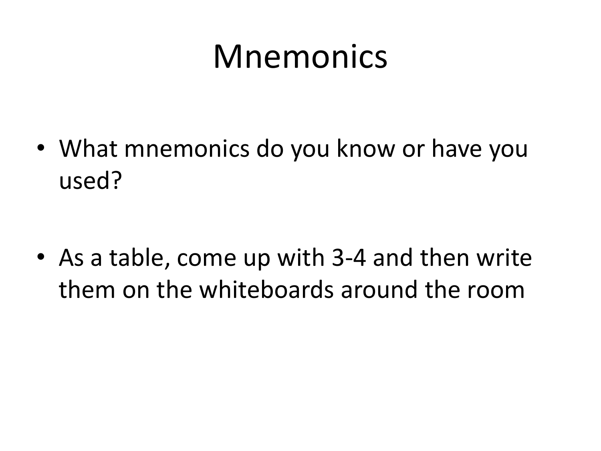### Mnemonics

• What mnemonics do you know or have you used?

• As a table, come up with 3-4 and then write them on the whiteboards around the room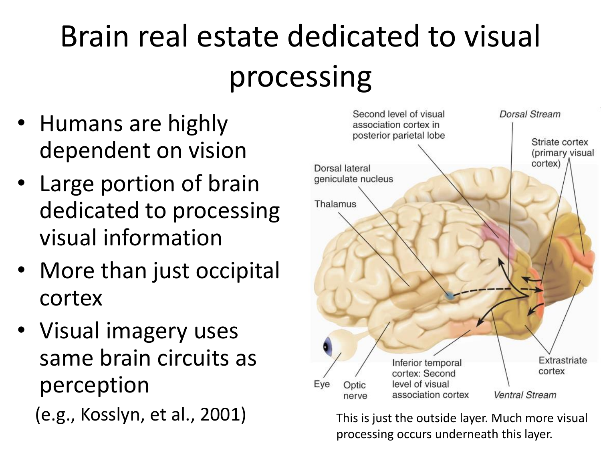## Brain real estate dedicated to visual processing

- Humans are highly dependent on vision
- Large portion of brain dedicated to processing visual information
- More than just occipital cortex
- Visual imagery uses same brain circuits as perception (e.g., Kosslyn, et al., 2001) This is just the outside layer. Much more visual



processing occurs underneath this layer.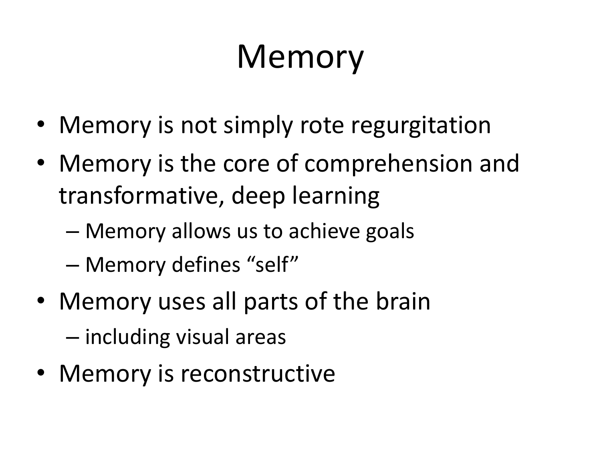## Memory

- Memory is not simply rote regurgitation
- Memory is the core of comprehension and transformative, deep learning
	- Memory allows us to achieve goals
	- Memory defines "self"
- Memory uses all parts of the brain
	- including visual areas
- Memory is reconstructive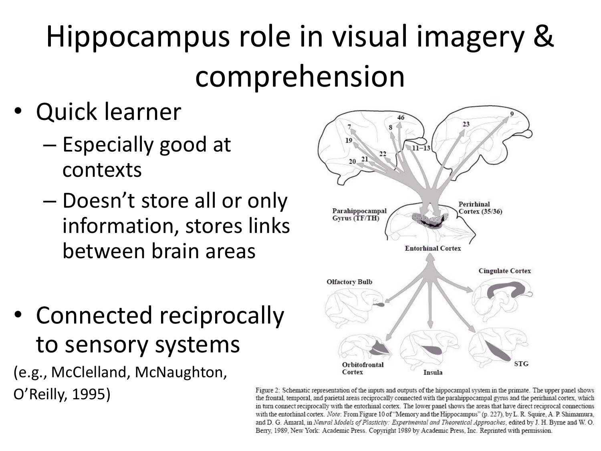### Hippocampus role in visual imagery & comprehension

- Quick learner
	- Especially good at contexts
	- Doesn't store all or only information, stores links between brain areas
- Connected reciprocally to sensory systems

(e.g., McClelland, McNaughton, O'Reilly, 1995)



Figure 2: Schematic representation of the inputs and outputs of the hippocampal system in the primate. The upper panel shows the frontal, temporal, and parietal areas reciprocally connected with the parahippocampal gyrus and the perirhinal cortex, which in turn connect reciprocally with the entorhinal cortex. The lower panel shows the areas that have direct reciprocal connections with the entorhinal cortex. Note: From Figure 10 of "Memory and the Hippocampus" (p. 227), by L. R. Squire, A. P. Shimamura, and D. G. Amaral, in Neural Models of Plasticity: Experimental and Theoretical Approaches, edited by J. H. Byrne and W. O. Berry, 1989. New York: Academic Press. Copyright 1989 by Academic Press. Inc. Reprinted with permission.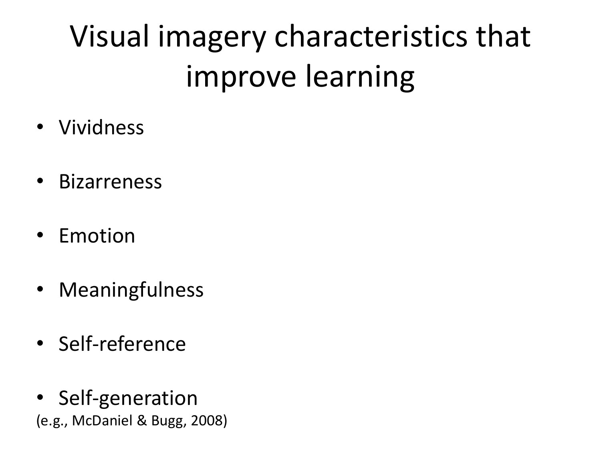## Visual imagery characteristics that improve learning

- Vividness
- Bizarreness
- Emotion
- Meaningfulness
- Self-reference
- Self-generation (e.g., McDaniel & Bugg, 2008)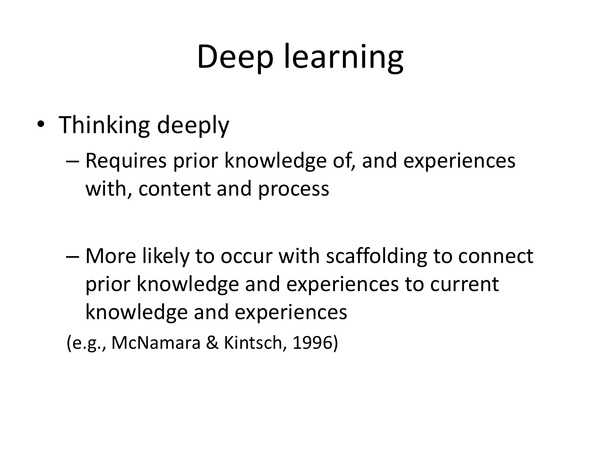## Deep learning

- Thinking deeply
	- Requires prior knowledge of, and experiences with, content and process
	- More likely to occur with scaffolding to connect prior knowledge and experiences to current knowledge and experiences
	- (e.g., McNamara & Kintsch, 1996)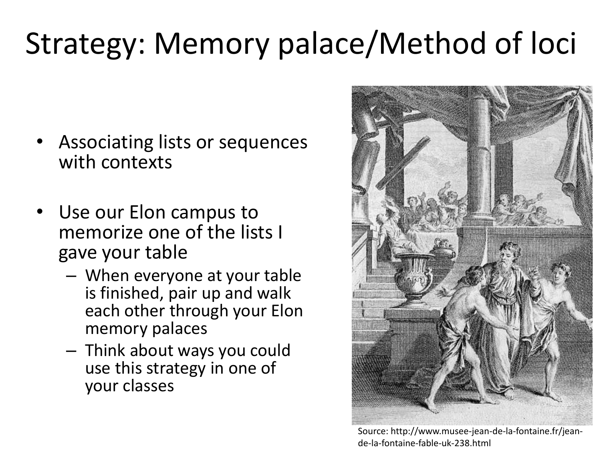#### Strategy: Memory palace/Method of loci

- Associating lists or sequences with contexts
- Use our Elon campus to memorize one of the lists I gave your table
	- When everyone at your table is finished, pair up and walk each other through your Elon memory palaces
	- Think about ways you could use this strategy in one of your classes



Source: http://www.musee-jean-de-la-fontaine.fr/jeande-la-fontaine-fable-uk-238.html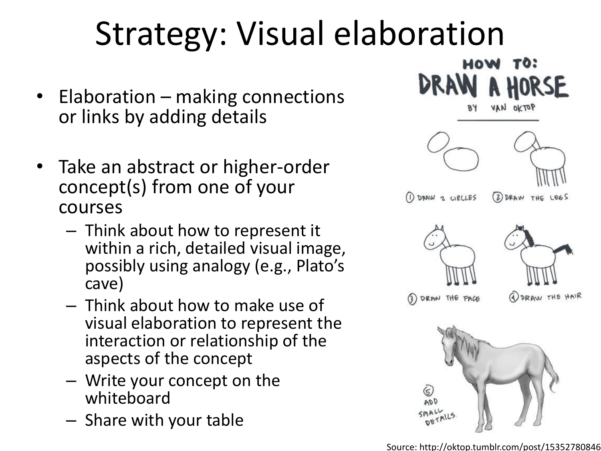# Strategy: Visual elaboration

- Elaboration making connections or links by adding details
- Take an abstract or higher-order concept(s) from one of your courses
	- Think about how to represent it within a rich, detailed visual image, possibly using analogy (e.g., Plato's cave)
	- Think about how to make use of visual elaboration to represent the interaction or relationship of the aspects of the concept
	- Write your concept on the whiteboard
	- Share with your table

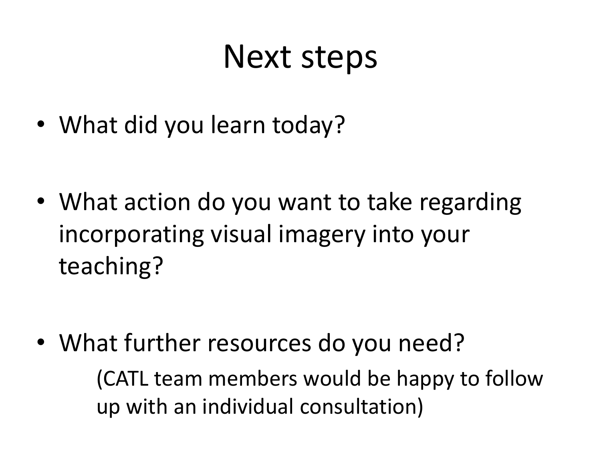#### Next steps

• What did you learn today?

• What action do you want to take regarding incorporating visual imagery into your teaching?

• What further resources do you need?

(CATL team members would be happy to follow up with an individual consultation)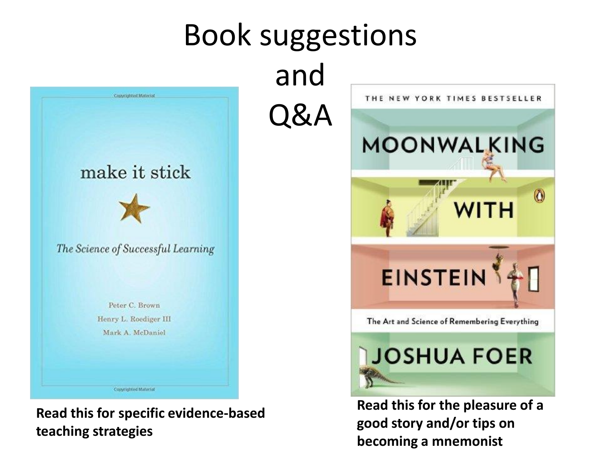

**Read this for specific evidence-based teaching strategies**

**Read this for the pleasure of a good story and/or tips on becoming a mnemonist**